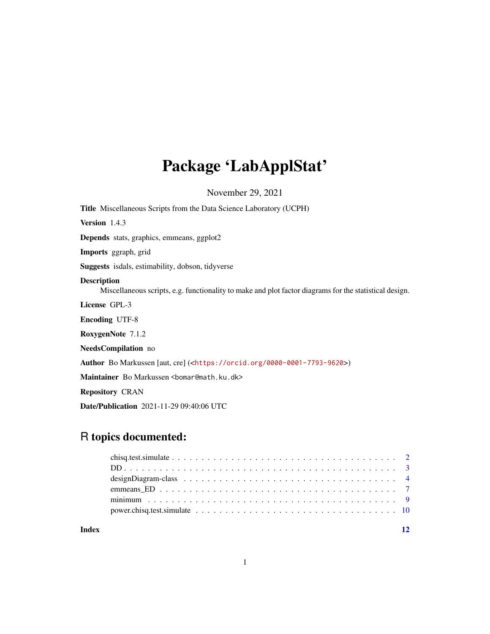## Package 'LabApplStat'

November 29, 2021

<span id="page-0-0"></span>Title Miscellaneous Scripts from the Data Science Laboratory (UCPH) Version 1.4.3 Depends stats, graphics, emmeans, ggplot2 Imports ggraph, grid Suggests isdals, estimability, dobson, tidyverse Description Miscellaneous scripts, e.g. functionality to make and plot factor diagrams for the statistical design. License GPL-3 Encoding UTF-8 RoxygenNote 7.1.2 NeedsCompilation no Author Bo Markussen [aut, cre] (<<https://orcid.org/0000-0001-7793-9620>>) Maintainer Bo Markussen <br/>bomar@math.ku.dk> Repository CRAN Date/Publication 2021-11-29 09:40:06 UTC

### R topics documented:

| Index |  |
|-------|--|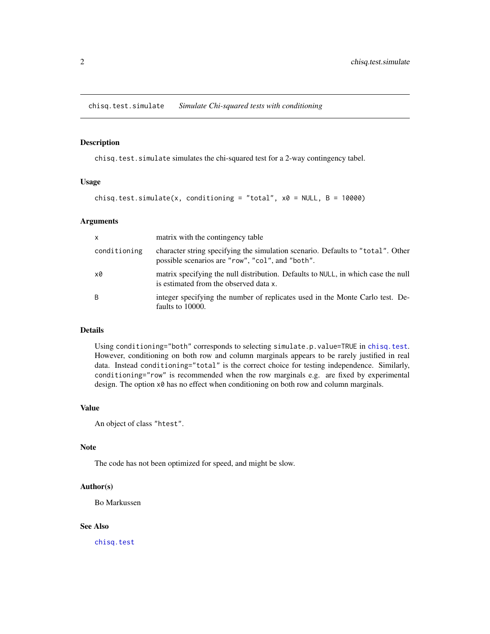<span id="page-1-1"></span><span id="page-1-0"></span>chisq.test.simulate *Simulate Chi-squared tests with conditioning*

#### Description

chisq.test.simulate simulates the chi-squared test for a 2-way contingency tabel.

#### Usage

```
chisq.test.simulate(x, conditioning = "total", x0 = NULL, B = 10000)
```
#### Arguments

| $\mathsf{x}$ | matrix with the contingency table                                                                                                   |
|--------------|-------------------------------------------------------------------------------------------------------------------------------------|
| conditioning | character string specifying the simulation scenario. Defaults to "total". Other<br>possible scenarios are "row", "col", and "both". |
| x0           | matrix specifying the null distribution. Defaults to NULL, in which case the null<br>is estimated from the observed data x.         |
| B            | integer specifying the number of replicates used in the Monte Carlo test. De-<br>faults to 10000.                                   |

#### Details

Using conditioning="both" corresponds to selecting simulate.p.value=TRUE in [chisq.test](#page-0-0). However, conditioning on both row and column marginals appears to be rarely justified in real data. Instead conditioning="total" is the correct choice for testing independence. Similarly, conditioning="row" is recommended when the row marginals e.g. are fixed by experimental design. The option x0 has no effect when conditioning on both row and column marginals.

#### Value

An object of class "htest".

#### Note

The code has not been optimized for speed, and might be slow.

#### Author(s)

Bo Markussen

#### See Also

[chisq.test](#page-0-0)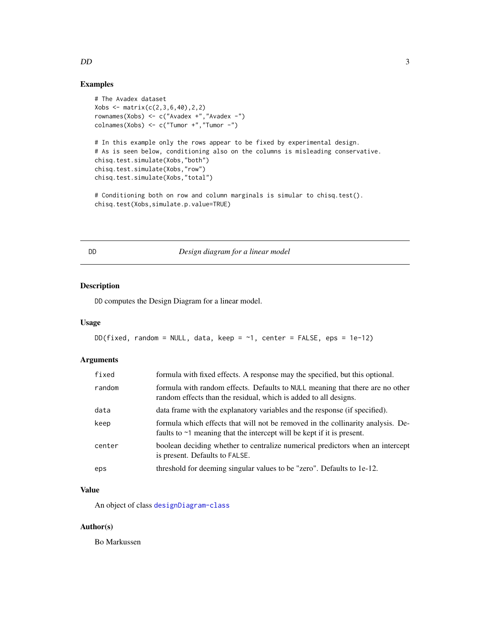#### Examples

```
# The Avadex dataset
Xobs \leftarrow matrix(c(2,3,6,40),2,2)rownames(Xobs) <- c("Avadex +","Avadex -")
\text{columns}(Xobs) \leq C("Tumor +", "Tumor -")# In this example only the rows appear to be fixed by experimental design.
# As is seen below, conditioning also on the columns is misleading conservative.
chisq.test.simulate(Xobs,"both")
chisq.test.simulate(Xobs,"row")
chisq.test.simulate(Xobs,"total")
# Conditioning both on row and column marginals is simular to chisq.test().
```

```
chisq.test(Xobs,simulate.p.value=TRUE)
```
<span id="page-2-1"></span>

#### DD *Design diagram for a linear model*

#### Description

DD computes the Design Diagram for a linear model.

#### Usage

```
DD(fixed, random = NULL, data, keep = \sim1, center = FALSE, eps = 1e-12)
```
#### Arguments

| fixed  | formula with fixed effects. A response may the specified, but this optional.                                                                                    |
|--------|-----------------------------------------------------------------------------------------------------------------------------------------------------------------|
| random | formula with random effects. Defaults to NULL meaning that there are no other<br>random effects than the residual, which is added to all designs.               |
| data   | data frame with the explanatory variables and the response (if specified).                                                                                      |
| keep   | formula which effects that will not be removed in the collinarity analysis. De-<br>faults to $\sim$ 1 meaning that the intercept will be kept if it is present. |
| center | boolean deciding whether to centralize numerical predictors when an intercept<br>is present. Defaults to FALSE.                                                 |
| eps    | threshold for deeming singular values to be "zero". Defaults to 1e-12.                                                                                          |

#### Value

An object of class [designDiagram-class](#page-3-1)

#### Author(s)

Bo Markussen

<span id="page-2-0"></span> $DD$  3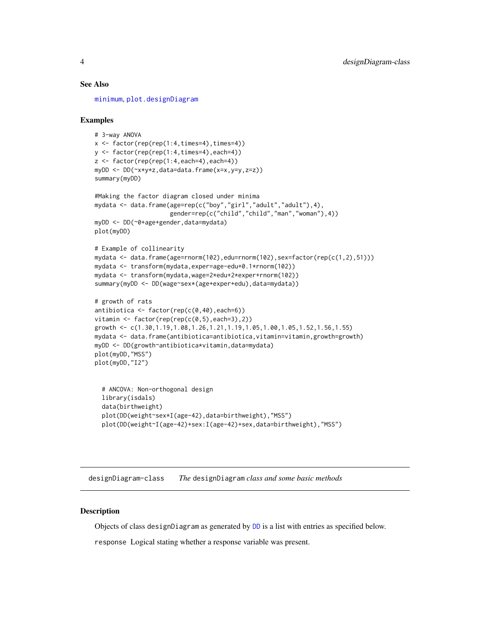#### <span id="page-3-0"></span>See Also

[minimum](#page-8-1), [plot.designDiagram](#page-3-2)

#### Examples

```
# 3-way ANOVA
x \le factor(rep(rep(1:4,times=4),times=4))
y <- factor(rep(rep(1:4,times=4),each=4))
z \le factor(rep(rep(1:4,each=4),each=4))
myDD <- DD(~x*y*z,data=data.frame(x=x,y=y,z=z))
summary(myDD)
#Making the factor diagram closed under minima
mydata <- data.frame(age=rep(c("boy","girl","adult","adult"),4),
                     gender=rep(c("child","child","man","woman"),4))
myDD <- DD(~0+age+gender,data=mydata)
plot(myDD)
# Example of collinearity
mydata <- data.frame(age=rnorm(102),edu=rnorm(102),sex=factor(rep(c(1,2),51)))
mydata <- transform(mydata,exper=age-edu+0.1*rnorm(102))
mydata <- transform(mydata,wage=2*edu+2*exper+rnorm(102))
summary(myDD <- DD(wage~sex*(age+exper+edu),data=mydata))
# growth of rats
antibiotica <- factor(rep(c(0,40),each=6))
vitamin \leq factor(rep(rep(c(0,5),each=3),2))
growth <- c(1.30,1.19,1.08,1.26,1.21,1.19,1.05,1.00,1.05,1.52,1.56,1.55)
mydata <- data.frame(antibiotica=antibiotica,vitamin=vitamin,growth=growth)
myDD <- DD(growth~antibiotica*vitamin,data=mydata)
plot(myDD,"MSS")
plot(myDD,"I2")
 # ANCOVA: Non-orthogonal design
 library(isdals)
 data(birthweight)
 plot(DD(weight~sex*I(age-42),data=birthweight),"MSS")
 plot(DD(weight~I(age-42)+sex:I(age-42)+sex,data=birthweight),"MSS")
```
<span id="page-3-1"></span>designDiagram-class *The* designDiagram *class and some basic methods*

#### <span id="page-3-2"></span>**Description**

Objects of class designDiagram as generated by [DD](#page-2-1) is a list with entries as specified below.

response Logical stating whether a response variable was present.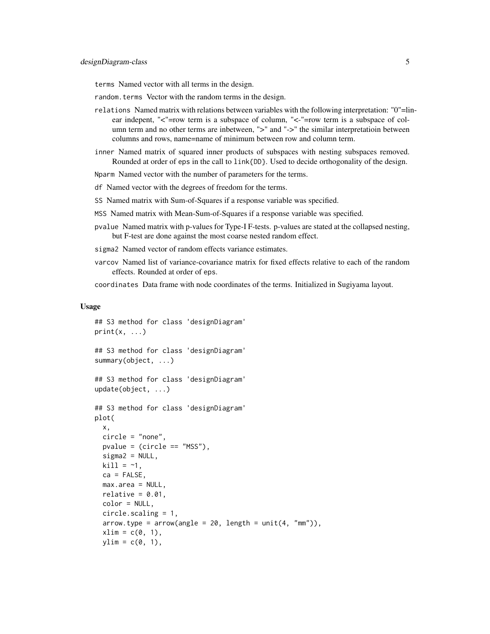terms Named vector with all terms in the design.

- random.terms Vector with the random terms in the design.
- relations Named matrix with relations between variables with the following interpretation: "0"=linear indepent, "<"=row term is a subspace of column, "<-"=row term is a subspace of column term and no other terms are inbetween, ">" and "->" the similar interpretatioin between columns and rows, name=name of minimum between row and column term.
- inner Named matrix of squared inner products of subspaces with nesting subspaces removed. Rounded at order of eps in the call to link{DD}. Used to decide orthogonality of the design.

Nparm Named vector with the number of parameters for the terms.

- df Named vector with the degrees of freedom for the terms.
- SS Named matrix with Sum-of-Squares if a response variable was specified.
- MSS Named matrix with Mean-Sum-of-Squares if a response variable was specified.
- pvalue Named matrix with p-values for Type-I F-tests. p-values are stated at the collapsed nesting, but F-test are done against the most coarse nested random effect.
- sigma2 Named vector of random effects variance estimates.
- varcov Named list of variance-covariance matrix for fixed effects relative to each of the random effects. Rounded at order of eps.

coordinates Data frame with node coordinates of the terms. Initialized in Sugiyama layout.

#### Usage

```
## S3 method for class 'designDiagram'
print(x, \ldots)## S3 method for class 'designDiagram'
summary(object, ...)
## S3 method for class 'designDiagram'
update(object, ...)
## S3 method for class 'designDiagram'
plot(
  x,
  circle = "none",
 pvalue = (circle == "MSS"),
  sigma2 = NULL,\text{kill} = -1,
  ca = FALSE,max.area = NULL,
  relative = 0.01,
  color = NULL,
  circle.scaling = 1,
  arrow.type = arrow(angle = 20, length = unit(4, "mm")),
  xlim = c(0, 1),ylim = c(0, 1),
```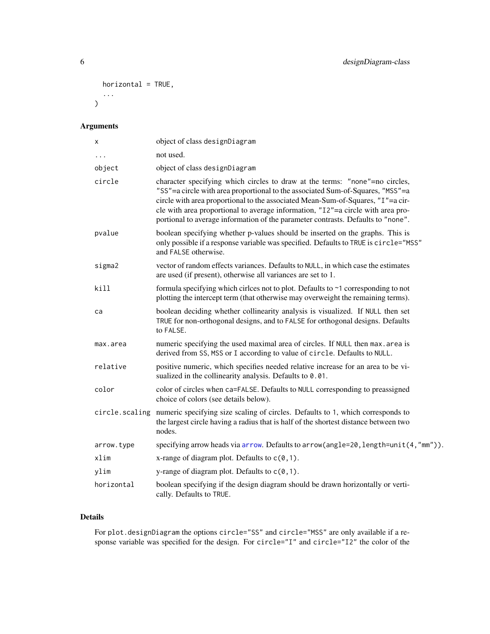```
horizontal = TRUE,
  ...
\mathcal{L}
```
### Arguments

| х              | object of class designDiagram                                                                                                                                                                                                                                                                                                                                                                                           |
|----------------|-------------------------------------------------------------------------------------------------------------------------------------------------------------------------------------------------------------------------------------------------------------------------------------------------------------------------------------------------------------------------------------------------------------------------|
| .              | not used.                                                                                                                                                                                                                                                                                                                                                                                                               |
| object         | object of class designDiagram                                                                                                                                                                                                                                                                                                                                                                                           |
| circle         | character specifying which circles to draw at the terms: "none"=no circles,<br>"SS"=a circle with area proportional to the associated Sum-of-Squares, "MSS"=a<br>circle with area proportional to the associated Mean-Sum-of-Squares, "I"=a cir-<br>cle with area proportional to average information, "I2"=a circle with area pro-<br>portional to average information of the parameter contrasts. Defaults to "none". |
| pvalue         | boolean specifying whether p-values should be inserted on the graphs. This is<br>only possible if a response variable was specified. Defaults to TRUE is circle="MSS"<br>and FALSE otherwise.                                                                                                                                                                                                                           |
| sigma2         | vector of random effects variances. Defaults to NULL, in which case the estimates<br>are used (if present), otherwise all variances are set to 1.                                                                                                                                                                                                                                                                       |
| kill           | formula specifying which circles not to plot. Defaults to $\sim$ 1 corresponding to not<br>plotting the intercept term (that otherwise may overweight the remaining terms).                                                                                                                                                                                                                                             |
| ca             | boolean deciding whether collinearity analysis is visualized. If NULL then set<br>TRUE for non-orthogonal designs, and to FALSE for orthogonal designs. Defaults<br>to FALSE.                                                                                                                                                                                                                                           |
| max.area       | numeric specifying the used maximal area of circles. If NULL then max. area is<br>derived from SS, MSS or I according to value of circle. Defaults to NULL.                                                                                                                                                                                                                                                             |
| relative       | positive numeric, which specifies needed relative increase for an area to be vi-<br>sualized in the collinearity analysis. Defaults to 0.01.                                                                                                                                                                                                                                                                            |
| color          | color of circles when ca=FALSE. Defaults to NULL corresponding to preassigned<br>choice of colors (see details below).                                                                                                                                                                                                                                                                                                  |
| circle.scaling | numeric specifying size scaling of circles. Defaults to 1, which corresponds to<br>the largest circle having a radius that is half of the shortest distance between two<br>nodes.                                                                                                                                                                                                                                       |
| arrow.type     | specifying arrow heads via arrow. Defaults to arrow(angle=20, length=unit(4,"mm")).                                                                                                                                                                                                                                                                                                                                     |
| xlim           | x-range of diagram plot. Defaults to $c(0,1)$ .                                                                                                                                                                                                                                                                                                                                                                         |
| ylim           | y-range of diagram plot. Defaults to $c(0,1)$ .                                                                                                                                                                                                                                                                                                                                                                         |
| horizontal     | boolean specifying if the design diagram should be drawn horizontally or verti-<br>cally. Defaults to TRUE.                                                                                                                                                                                                                                                                                                             |

#### Details

For plot.designDiagram the options circle="SS" and circle="MSS" are only available if a response variable was specified for the design. For circle="I" and circle="I2" the color of the

<span id="page-5-0"></span>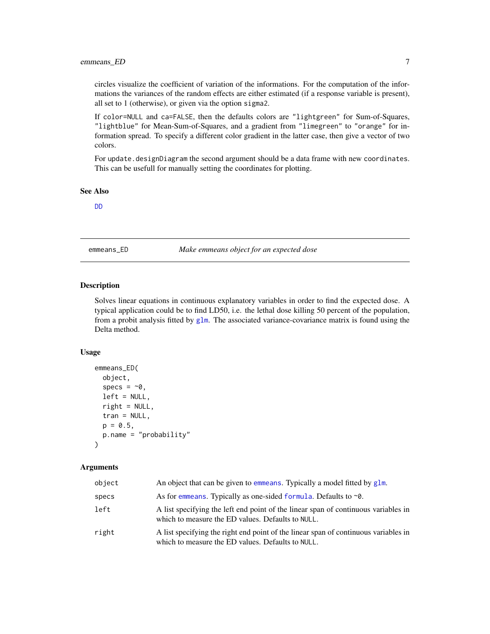#### <span id="page-6-0"></span>emmeans\_ED 7

circles visualize the coefficient of variation of the informations. For the computation of the informations the variances of the random effects are either estimated (if a response variable is present), all set to 1 (otherwise), or given via the option sigma2.

If color=NULL and ca=FALSE, then the defaults colors are "lightgreen" for Sum-of-Squares, "lightblue" for Mean-Sum-of-Squares, and a gradient from "limegreen" to "orange" for information spread. To specify a different color gradient in the latter case, then give a vector of two colors.

For update.designDiagram the second argument should be a data frame with new coordinates. This can be usefull for manually setting the coordinates for plotting.

#### See Also

[DD](#page-2-1)

emmeans\_ED *Make emmeans object for an expected dose*

#### **Description**

Solves linear equations in continuous explanatory variables in order to find the expected dose. A typical application could be to find LD50, i.e. the lethal dose killing 50 percent of the population, from a probit analysis fitted by  $g1m$ . The associated variance-covariance matrix is found using the Delta method.

#### Usage

```
emmeans_ED(
  object,
  \text{species} = -\theta,
  left = NULL,right = NULL,tran = NULL,p = 0.5,
  p.name = "probability"
)
```
#### Arguments

| object | An object that can be given to emmeans. Typically a model fitted by glm.                                                                 |
|--------|------------------------------------------------------------------------------------------------------------------------------------------|
| specs  | As for emmeans. Typically as one-sided formula. Defaults to $\sim 0$ .                                                                   |
| left   | A list specifying the left end point of the linear span of continuous variables in<br>which to measure the ED values. Defaults to NULL.  |
| right  | A list specifying the right end point of the linear span of continuous variables in<br>which to measure the ED values. Defaults to NULL. |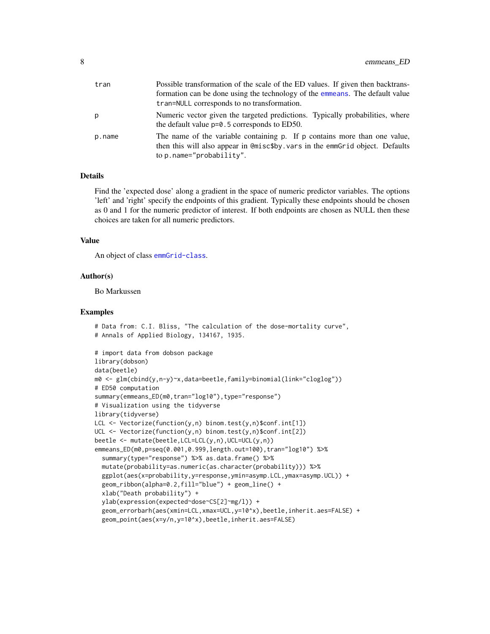<span id="page-7-0"></span>

| tran   | Possible transformation of the scale of the ED values. If given then backtrans-                                                                                                       |
|--------|---------------------------------------------------------------------------------------------------------------------------------------------------------------------------------------|
|        | formation can be done using the technology of the emmeans. The default value                                                                                                          |
|        | tran=NULL corresponds to no transformation.                                                                                                                                           |
| p      | Numeric vector given the targeted predictions. Typically probabilities, where<br>the default value $p=0.5$ corresponds to ED50.                                                       |
| p.name | The name of the variable containing p. If p contains more than one value,<br>then this will also appear in @misc\$by.vars in the emmGrid object. Defaults<br>to p.name="probability". |

#### Details

Find the 'expected dose' along a gradient in the space of numeric predictor variables. The options 'left' and 'right' specify the endpoints of this gradient. Typically these endpoints should be chosen as 0 and 1 for the numeric predictor of interest. If both endpoints are chosen as NULL then these choices are taken for all numeric predictors.

#### Value

An object of class [emmGrid-class](#page-0-0).

#### Author(s)

Bo Markussen

#### Examples

```
# Data from: C.I. Bliss, "The calculation of the dose-mortality curve",
# Annals of Applied Biology, 134167, 1935.
# import data from dobson package
library(dobson)
data(beetle)
m0 <- glm(cbind(y,n-y)~x,data=beetle,family=binomial(link="cloglog"))
# ED50 computation
summary(emmeans_ED(m0,tran="log10"),type="response")
# Visualization using the tidyverse
library(tidyverse)
LCL <- Vectorize(function(y,n) binom.test(y,n)$conf.int[1])
UCL <- Vectorize(function(y,n) binom.test(y,n)$conf.int[2])
beetle <- mutate(beetle,LCL=LCL(y,n),UCL=UCL(y,n))
emmeans_ED(m0,p=seq(0.001,0.999,length.out=100),tran="log10") %>%
  summary(type="response") %>% as.data.frame() %>%
  mutate(probability=as.numeric(as.character(probability))) %>%
  ggplot(aes(x=probability,y=response,ymin=asymp.LCL,ymax=asymp.UCL)) +
  geom_ribbon(alpha=0.2,fill="blue") + geom_line() +
  xlab("Death probability") +
  ylab(expression(expected~dose~CS[2]~mg/l)) +
  geom_errorbarh(aes(xmin=LCL,xmax=UCL,y=10^x),beetle,inherit.aes=FALSE) +
  geom_point(aes(x=y/n,y=10^x),beetle,inherit.aes=FALSE)
```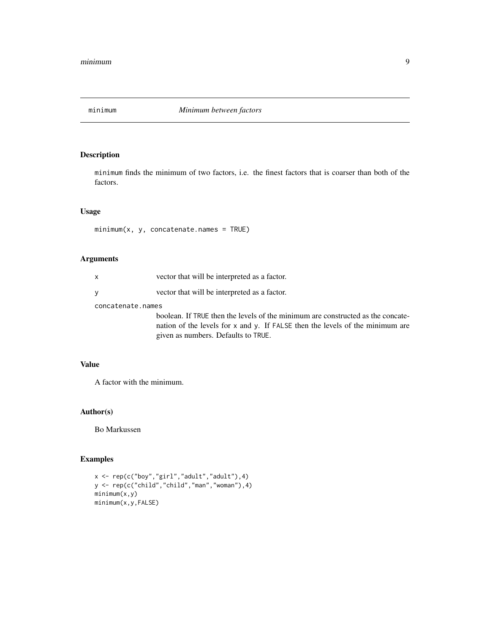<span id="page-8-1"></span><span id="page-8-0"></span>

#### Description

minimum finds the minimum of two factors, i.e. the finest factors that is coarser than both of the factors.

#### Usage

 $minimum(x, y, concatenate.name = TRUE)$ 

#### Arguments

| x                 | vector that will be interpreted as a factor.                                                                                                                                                            |
|-------------------|---------------------------------------------------------------------------------------------------------------------------------------------------------------------------------------------------------|
| v                 | vector that will be interpreted as a factor.                                                                                                                                                            |
| concatenate.names |                                                                                                                                                                                                         |
|                   | boolean. If TRUE then the levels of the minimum are constructed as the concate-<br>nation of the levels for x and y. If FALSE then the levels of the minimum are<br>given as numbers. Defaults to TRUE. |

#### Value

A factor with the minimum.

#### Author(s)

Bo Markussen

#### Examples

```
x <- rep(c("boy","girl","adult","adult"),4)
y <- rep(c("child","child","man","woman"),4)
minimum(x,y)
minimum(x,y,FALSE)
```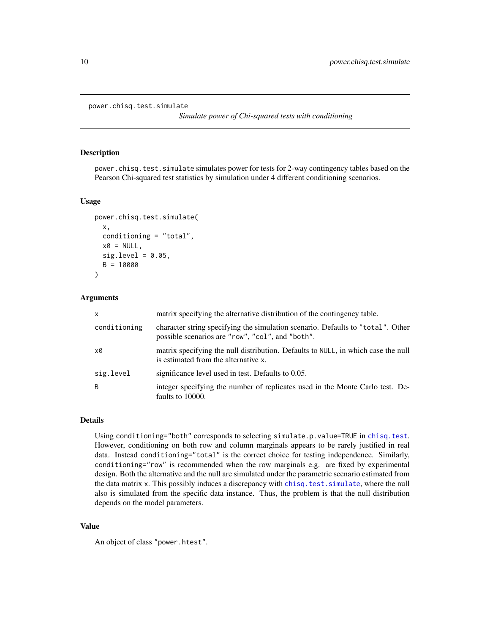```
power.chisq.test.simulate
```
*Simulate power of Chi-squared tests with conditioning*

#### Description

power.chisq.test.simulate simulates power for tests for 2-way contingency tables based on the Pearson Chi-squared test statistics by simulation under 4 different conditioning scenarios.

#### Usage

```
power.chisq.test.simulate(
  x,
  conditioning = "total",
  x0 = NULL,sig. level = 0.05,
  B = 10000
\lambda
```
#### Arguments

| $\mathsf{x}$ | matrix specifying the alternative distribution of the contingency table.                                                            |
|--------------|-------------------------------------------------------------------------------------------------------------------------------------|
| conditioning | character string specifying the simulation scenario. Defaults to "total". Other<br>possible scenarios are "row", "col", and "both". |
| x0           | matrix specifying the null distribution. Defaults to NULL, in which case the null<br>is estimated from the alternative x.           |
| sig.level    | significance level used in test. Defaults to 0.05.                                                                                  |
| B            | integer specifying the number of replicates used in the Monte Carlo test. De-<br>faults to 10000.                                   |

#### Details

Using conditioning="both" corresponds to selecting simulate.p.value=TRUE in [chisq.test](#page-0-0). However, conditioning on both row and column marginals appears to be rarely justified in real data. Instead conditioning="total" is the correct choice for testing independence. Similarly, conditioning="row" is recommended when the row marginals e.g. are fixed by experimental design. Both the alternative and the null are simulated under the parametric scenario estimated from the data matrix x. This possibly induces a discrepancy with [chisq.test.simulate](#page-1-1), where the null also is simulated from the specific data instance. Thus, the problem is that the null distribution depends on the model parameters.

#### Value

An object of class "power.htest".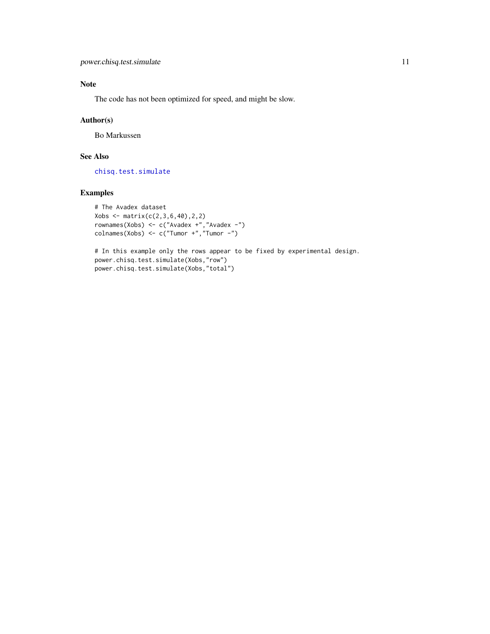#### <span id="page-10-0"></span>Note

The code has not been optimized for speed, and might be slow.

#### Author(s)

Bo Markussen

#### See Also

[chisq.test.simulate](#page-1-1)

#### Examples

```
# The Avadex dataset
Xobs \leftarrow matrix(c(2,3,6,40),2,2)rownames(Xobs) <- c("Avadex +","Avadex -")
colnames(Xobs) <- c("Tumor +","Tumor -")
```
# In this example only the rows appear to be fixed by experimental design. power.chisq.test.simulate(Xobs,"row") power.chisq.test.simulate(Xobs,"total")